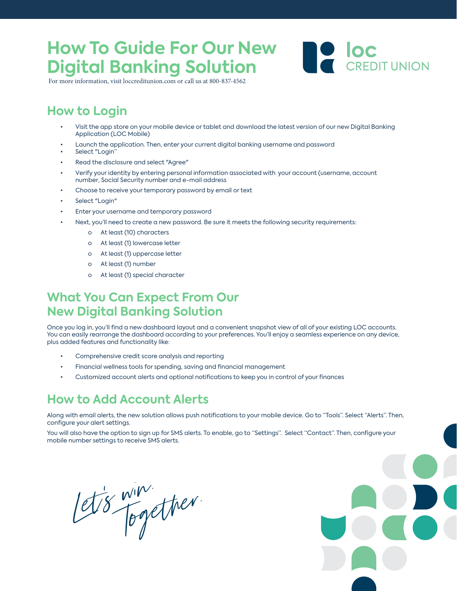### **How To Guide For Our New Digital Banking Solution Full Color Panti**



For more information, visit loccreditunion.com or call us at 800-837-4562

# **How to Login**

- Visit the app store on your mobile device or tablet and download the latest version of our new Digital Banking Application (LOC Mobile)
- Launch the application. Then, enter your current digital banking username and password
- Select "Login"
- Read the disclosure and select "Agree"
- Verify your identity by entering personal information associated with your account (username, account number, Social Security number and e-mail address
- Choose to receive your temporary password by email or text
- Select "Login"
- Enter your username and temporary password
- Next, you'll need to create a new password. Be sure it meets the following security requirements:
	- o At least (10) characters
	- o At least (1) lowercase letter
	- o At least (1) uppercase letter
	- o At least (1) number
	- o At least (1) special character

### **What You Can Expect From Our New Digital Banking Solution**

Once you log in, you'll find a new dashboard layout and a convenient snapshot view of all of your existing LOC accounts. You can easily rearrange the dashboard according to your preferences. You'll enjoy a seamless experience on any device, plus added features and functionality like:

- Comprehensive credit score analysis and reporting<br>• Financial wellness tools for spending *saying and fir*
- Financial wellness tools for spending, saving and financial management
- Customized account alerts and optional notifications to keep you in control of your finances **Color Patterns**

### **How to Add Account Alerts**

Along with email alerts, the new solution allows push notifications to your mobile device. Go to "Tools". Select "Alerts". Then, configure your alert settings.

You will also have the option to sign up for SMS alerts. To enable, go to "Settings". Select "Contact". Then, configure your mobile number settings to receive SMS alerts.

let's win.